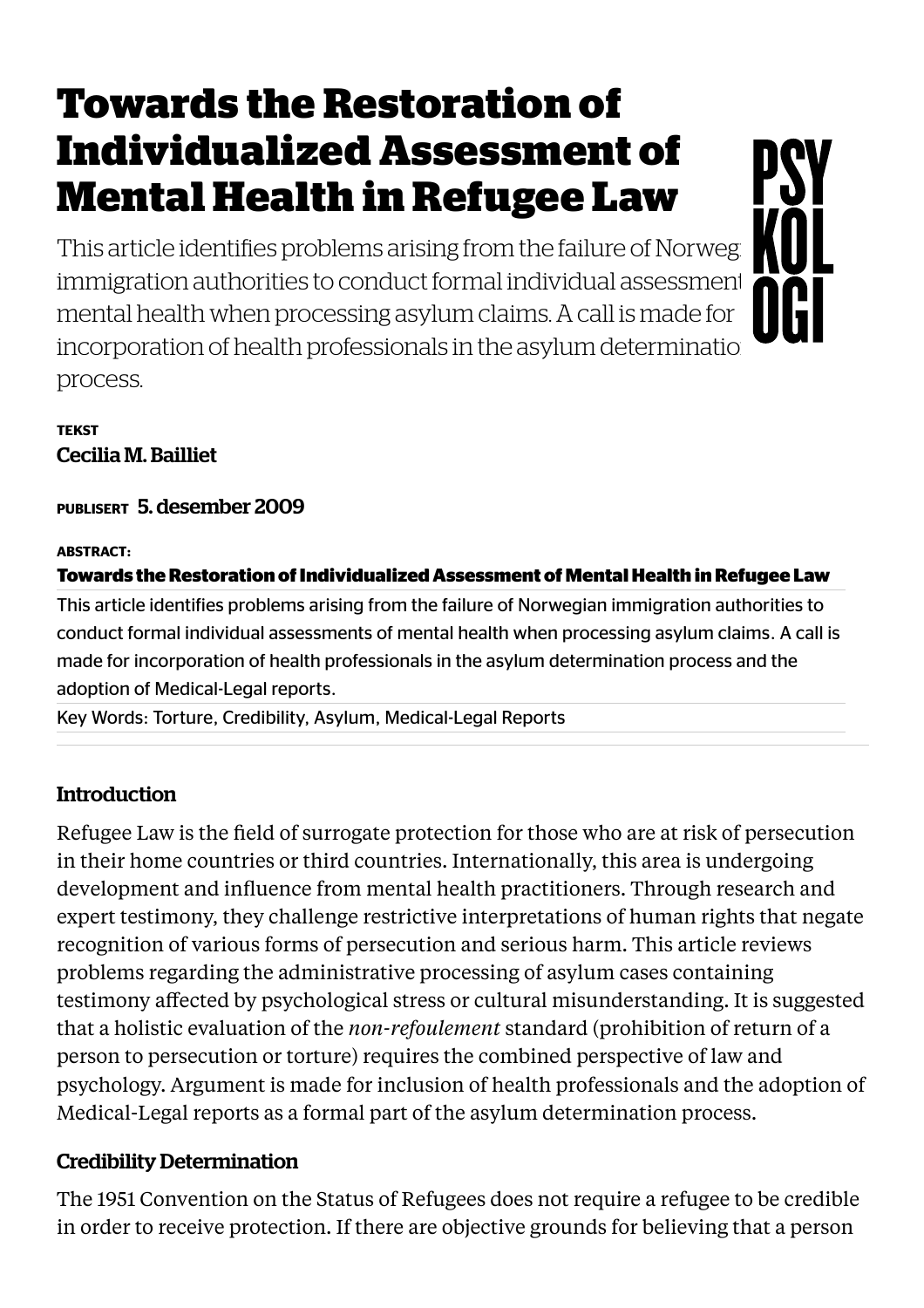# Towards the Restoration of Individualized Assessment of Mental Health in Refugee Law

This article identifies problems arising from the failure of Norweg immigration authorities to conduct formal individual assessment mental health when processing asylum claims. A call is made for incorporation of health professionals in the asylum determination process.

#### **TEKST** Cecilia M. Bailliet

PUBLISERT 5. desember 2009

#### ABSTRACT:

#### Towards the Restoration of Individualized Assessment of Mental Health in Refugee Law

This article identifies problems arising from the failure of Norwegian immigration authorities to conduct formal individual assessments of mental health when processing asylum claims. A call is made for incorporation of health professionals in the asylum determination process and the adoption of Medical-Legal reports.

Key Words: Torture, Credibility, Asylum, Medical-Legal Reports

# **Introduction**

Refugee Law is the field of surrogate protection for those who are at risk of persecution in their home countries or third countries. Internationally, this area is undergoing development and influence from mental health practitioners. Through research and expert testimony, they challenge restrictive interpretations of human rights that negate recognition of various forms of persecution and serious harm. This article reviews problems regarding the administrative processing of asylum cases containing testimony affected by psychological stress or cultural misunderstanding. It is suggested that a holistic evaluation of the *non-refoulement* standard (prohibition of return of a person to persecution or torture) requires the combined perspective of law and psychology. Argument is made for inclusion of health professionals and the adoption of Medical-Legal reports as a formal part of the asylum determination process.

# Credibility Determination

The 1951 Convention on the Status of Refugees does not require a refugee to be credible in order to receive protection. If there are objective grounds for believing that a person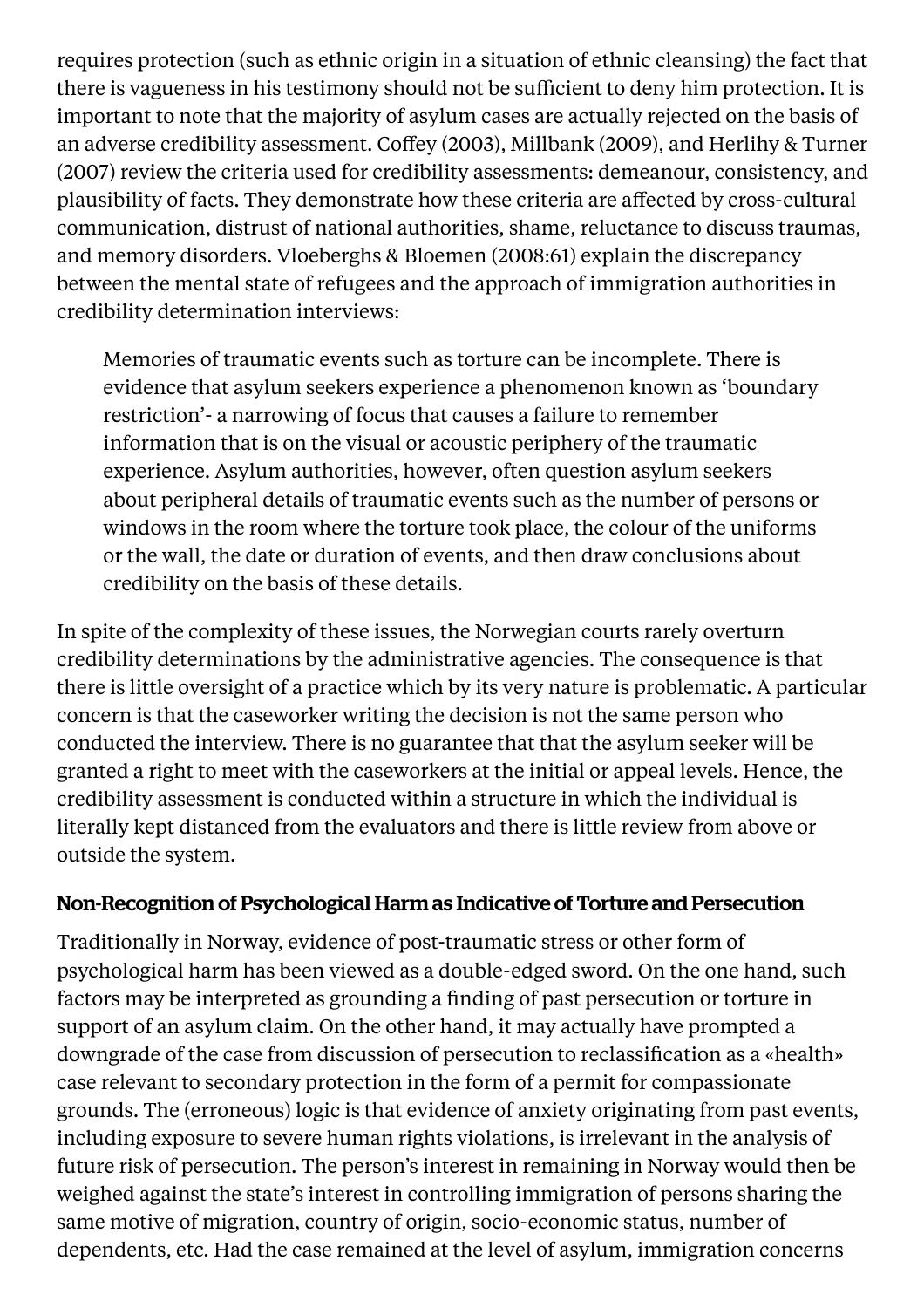requires protection (such as ethnic origin in a situation of ethnic cleansing) the fact that there is vagueness in his testimony should not be sufficient to deny him protection. It is important to note that the majority of asylum cases are actually rejected on the basis of an adverse credibility assessment. Coffey (2003), Millbank (2009), and Herlihy & Turner (2007) review the criteria used for credibility assessments: demeanour, consistency, and plausibility of facts. They demonstrate how these criteria are affected by cross-cultural communication, distrust of national authorities, shame, reluctance to discuss traumas, and memory disorders. Vloeberghs & Bloemen (2008:61) explain the discrepancy between the mental state of refugees and the approach of immigration authorities in credibility determination interviews:

Memories of traumatic events such as torture can be incomplete. There is evidence that asylum seekers experience a phenomenon known as 'boundary restriction'- a narrowing of focus that causes a failure to remember information that is on the visual or acoustic periphery of the traumatic experience. Asylum authorities, however, often question asylum seekers about peripheral details of traumatic events such as the number of persons or windows in the room where the torture took place, the colour of the uniforms or the wall, the date or duration of events, and then draw conclusions about credibility on the basis of these details.

In spite of the complexity of these issues, the Norwegian courts rarely overturn credibility determinations by the administrative agencies. The consequence is that there is little oversight of a practice which by its very nature is problematic. A particular concern is that the caseworker writing the decision is not the same person who conducted the interview. There is no guarantee that that the asylum seeker will be granted a right to meet with the caseworkers at the initial or appeal levels. Hence, the credibility assessment is conducted within a structure in which the individual is literally kept distanced from the evaluators and there is little review from above or outside the system.

#### Non-Recognition of Psychological Harm as Indicative of Torture and Persecution

Traditionally in Norway, evidence of post-traumatic stress or other form of psychological harm has been viewed as a double-edged sword. On the one hand, such factors may be interpreted as grounding a finding of past persecution or torture in support of an asylum claim. On the other hand, it may actually have prompted a downgrade of the case from discussion of persecution to reclassification as a «health» case relevant to secondary protection in the form of a permit for compassionate grounds. The (erroneous) logic is that evidence of anxiety originating from past events, including exposure to severe human rights violations, is irrelevant in the analysis of future risk of persecution. The person's interest in remaining in Norway would then be weighed against the state's interest in controlling immigration of persons sharing the same motive of migration, country of origin, socio-economic status, number of dependents, etc. Had the case remained at the level of asylum, immigration concerns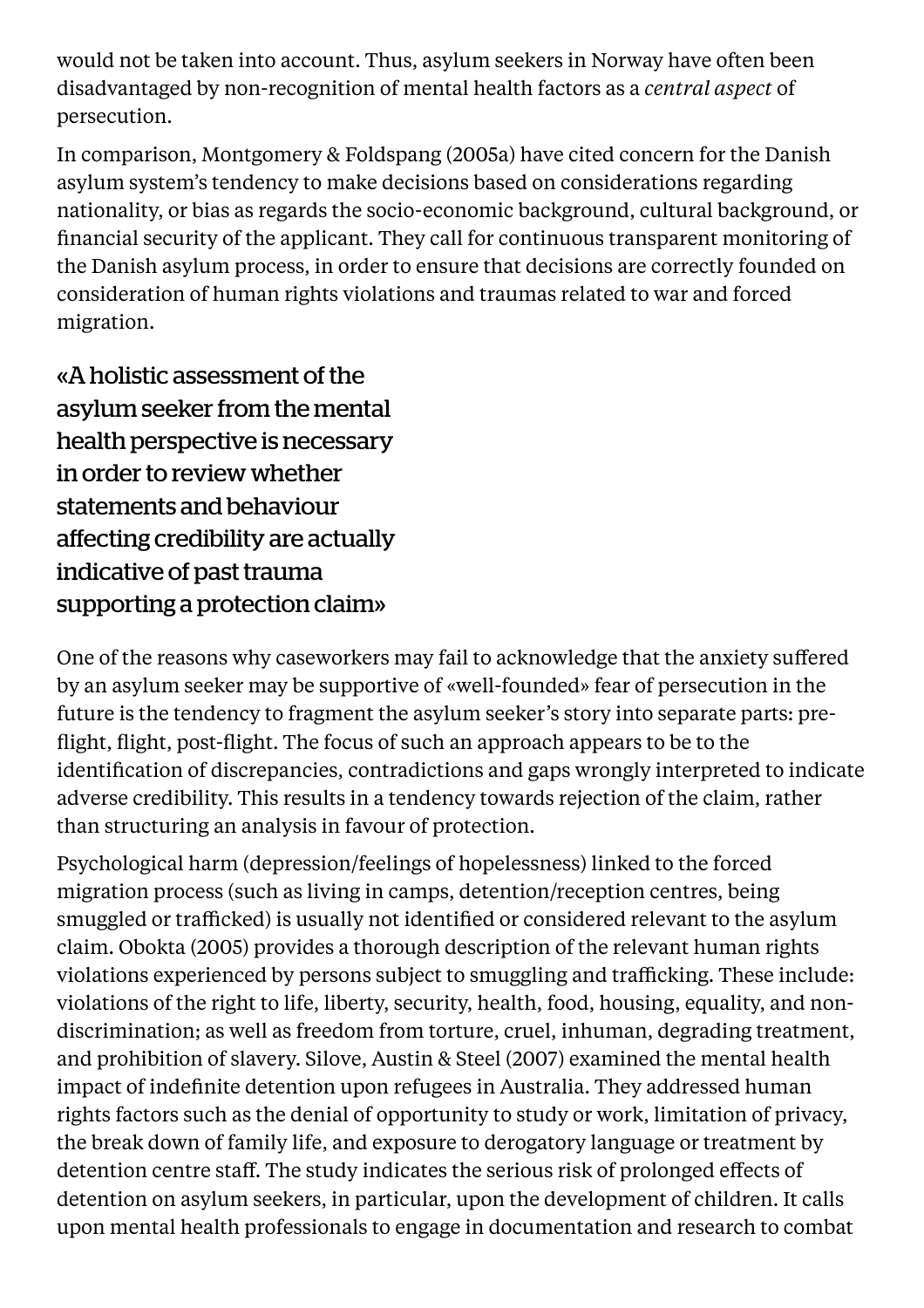would not be taken into account. Thus, asylum seekers in Norway have often been disadvantaged by non-recognition of mental health factors as a *central aspect* of persecution.

In comparison, Montgomery & Foldspang (2005a) have cited concern for the Danish asylum system's tendency to make decisions based on considerations regarding nationality, or bias as regards the socio-economic background, cultural background, or financial security of the applicant. They call for continuous transparent monitoring of the Danish asylum process, in order to ensure that decisions are correctly founded on consideration of human rights violations and traumas related to war and forced migration.

«A holistic assessment of the asylum seeker from the mental health perspective is necessary in order to review whether statements and behaviour affecting credibility are actually indicative of past trauma supporting a protection claim»

One of the reasons why caseworkers may fail to acknowledge that the anxiety suffered by an asylum seeker may be supportive of «well-founded» fear of persecution in the future is the tendency to fragment the asylum seeker's story into separate parts: preflight, flight, post-flight. The focus of such an approach appears to be to the identification of discrepancies, contradictions and gaps wrongly interpreted to indicate adverse credibility. This results in a tendency towards rejection of the claim, rather than structuring an analysis in favour of protection.

Psychological harm (depression/feelings of hopelessness) linked to the forced migration process (such as living in camps, detention/reception centres, being smuggled or trafficked) is usually not identified or considered relevant to the asylum claim. Obokta (2005) provides a thorough description of the relevant human rights violations experienced by persons subject to smuggling and trafficking. These include: violations of the right to life, liberty, security, health, food, housing, equality, and nondiscrimination; as well as freedom from torture, cruel, inhuman, degrading treatment, and prohibition of slavery. Silove, Austin & Steel (2007) examined the mental health impact of indefinite detention upon refugees in Australia. They addressed human rights factors such as the denial of opportunity to study or work, limitation of privacy, the break down of family life, and exposure to derogatory language or treatment by detention centre staff. The study indicates the serious risk of prolonged effects of detention on asylum seekers, in particular, upon the development of children. It calls upon mental health professionals to engage in documentation and research to combat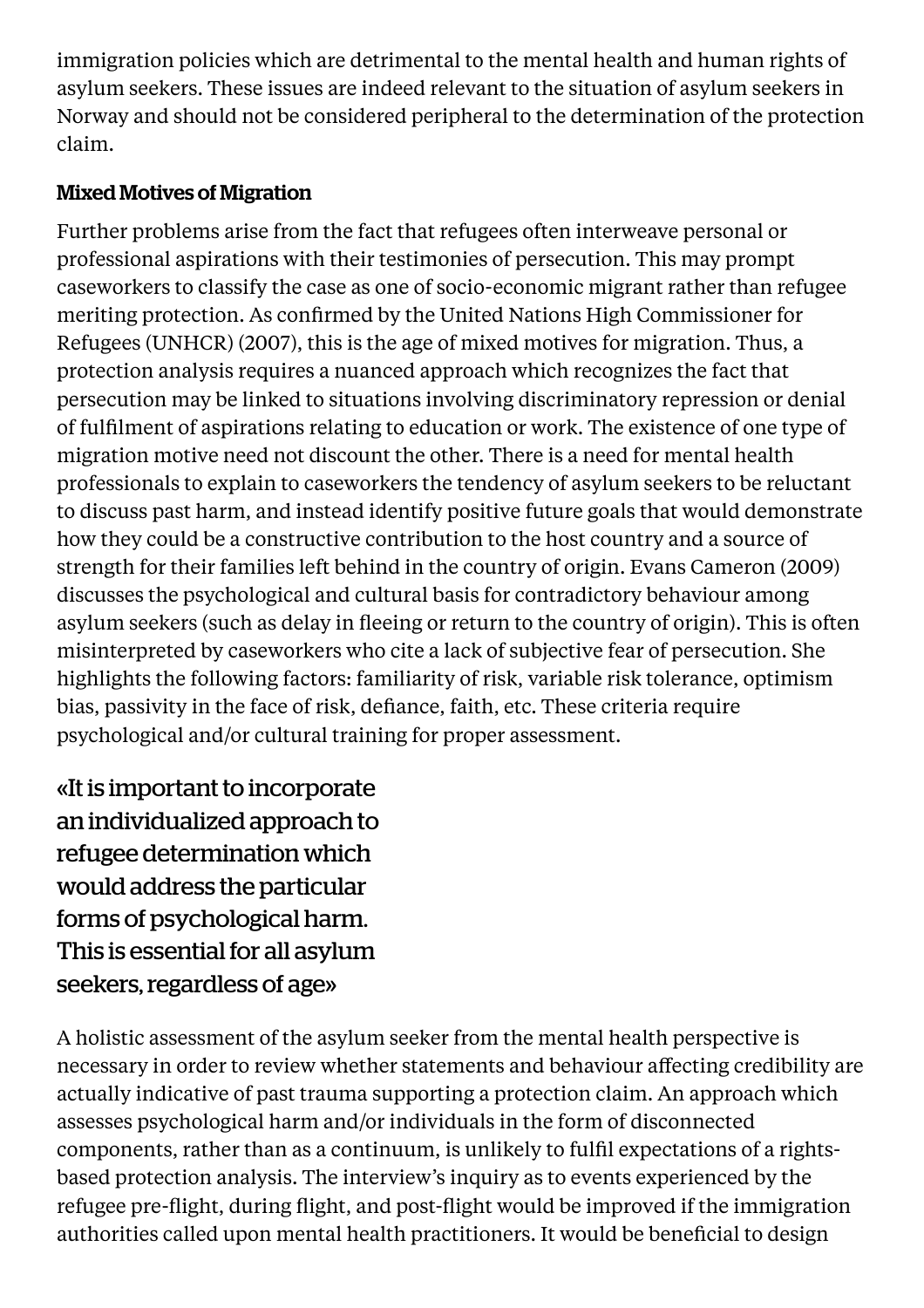immigration policies which are detrimental to the mental health and human rights of asylum seekers. These issues are indeed relevant to the situation of asylum seekers in Norway and should not be considered peripheral to the determination of the protection claim.

# Mixed Motives of Migration

Further problems arise from the fact that refugees often interweave personal or professional aspirations with their testimonies of persecution. This may prompt caseworkers to classify the case as one of socio-economic migrant rather than refugee meriting protection. As confirmed by the United Nations High Commissioner for Refugees (UNHCR) (2007), this is the age of mixed motives for migration. Thus, a protection analysis requires a nuanced approach which recognizes the fact that persecution may be linked to situations involving discriminatory repression or denial of fulfilment of aspirations relating to education or work. The existence of one type of migration motive need not discount the other. There is a need for mental health professionals to explain to caseworkers the tendency of asylum seekers to be reluctant to discuss past harm, and instead identify positive future goals that would demonstrate how they could be a constructive contribution to the host country and a source of strength for their families left behind in the country of origin. Evans Cameron (2009) discusses the psychological and cultural basis for contradictory behaviour among asylum seekers (such as delay in fleeing or return to the country of origin). This is often misinterpreted by caseworkers who cite a lack of subjective fear of persecution. She highlights the following factors: familiarity of risk, variable risk tolerance, optimism bias, passivity in the face of risk, defiance, faith, etc. These criteria require psychological and/or cultural training for proper assessment.

«It is important to incorporate an individualized approach to refugee determination which would address the particular forms of psychological harm. This is essential for all asylum seekers, regardless of age»

A holistic assessment of the asylum seeker from the mental health perspective is necessary in order to review whether statements and behaviour affecting credibility are actually indicative of past trauma supporting a protection claim. An approach which assesses psychological harm and/or individuals in the form of disconnected components, rather than as a continuum, is unlikely to fulfil expectations of a rightsbased protection analysis. The interview's inquiry as to events experienced by the refugee pre-flight, during flight, and post-flight would be improved if the immigration authorities called upon mental health practitioners. It would be beneficial to design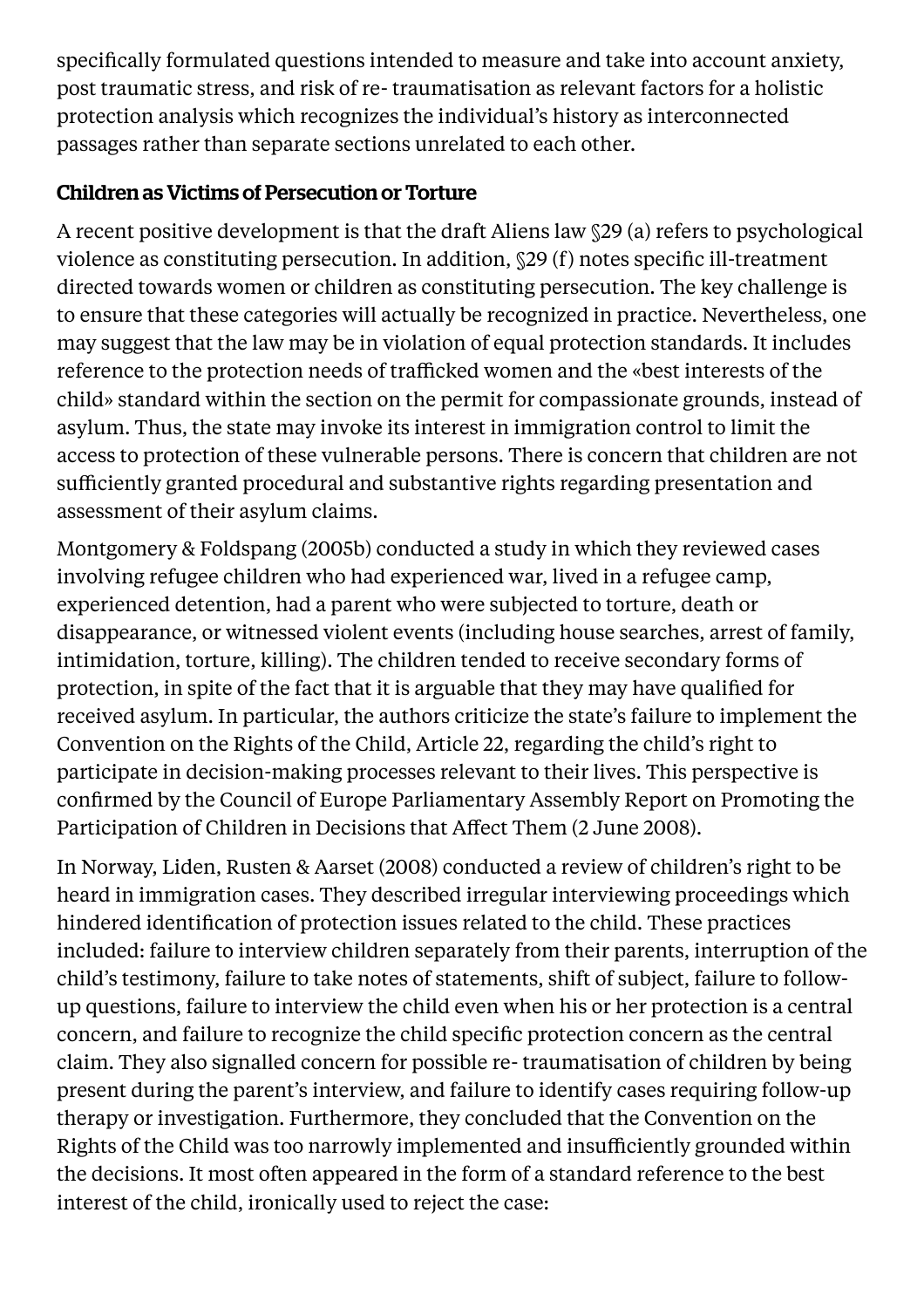specifically formulated questions intended to measure and take into account anxiety, post traumatic stress, and risk of re- traumatisation as relevant factors for a holistic protection analysis which recognizes the individual's history as interconnected passages rather than separate sections unrelated to each other.

# Children as Victims of Persecution or Torture

A recent positive development is that the draft Aliens law §29 (a) refers to psychological violence as constituting persecution. In addition, §29 (f) notes specific ill-treatment directed towards women or children as constituting persecution. The key challenge is to ensure that these categories will actually be recognized in practice. Nevertheless, one may suggest that the law may be in violation of equal protection standards. It includes reference to the protection needs of trafficked women and the «best interests of the child» standard within the section on the permit for compassionate grounds, instead of asylum. Thus, the state may invoke its interest in immigration control to limit the access to protection of these vulnerable persons. There is concern that children are not sufficiently granted procedural and substantive rights regarding presentation and assessment of their asylum claims.

Montgomery & Foldspang (2005b) conducted a study in which they reviewed cases involving refugee children who had experienced war, lived in a refugee camp, experienced detention, had a parent who were subjected to torture, death or disappearance, or witnessed violent events (including house searches, arrest of family, intimidation, torture, killing). The children tended to receive secondary forms of protection, in spite of the fact that it is arguable that they may have qualified for received asylum. In particular, the authors criticize the state's failure to implement the Convention on the Rights of the Child, Article 22, regarding the child's right to participate in decision-making processes relevant to their lives. This perspective is confirmed by the Council of Europe Parliamentary Assembly Report on Promoting the Participation of Children in Decisions that Affect Them (2 June 2008).

In Norway, Liden, Rusten & Aarset (2008) conducted a review of children's right to be heard in immigration cases. They described irregular interviewing proceedings which hindered identification of protection issues related to the child. These practices included: failure to interview children separately from their parents, interruption of the child's testimony, failure to take notes of statements, shift of subject, failure to followup questions, failure to interview the child even when his or her protection is a central concern, and failure to recognize the child specific protection concern as the central claim. They also signalled concern for possible re- traumatisation of children by being present during the parent's interview, and failure to identify cases requiring follow-up therapy or investigation. Furthermore, they concluded that the Convention on the Rights of the Child was too narrowly implemented and insufficiently grounded within the decisions. It most often appeared in the form of a standard reference to the best interest of the child, ironically used to reject the case: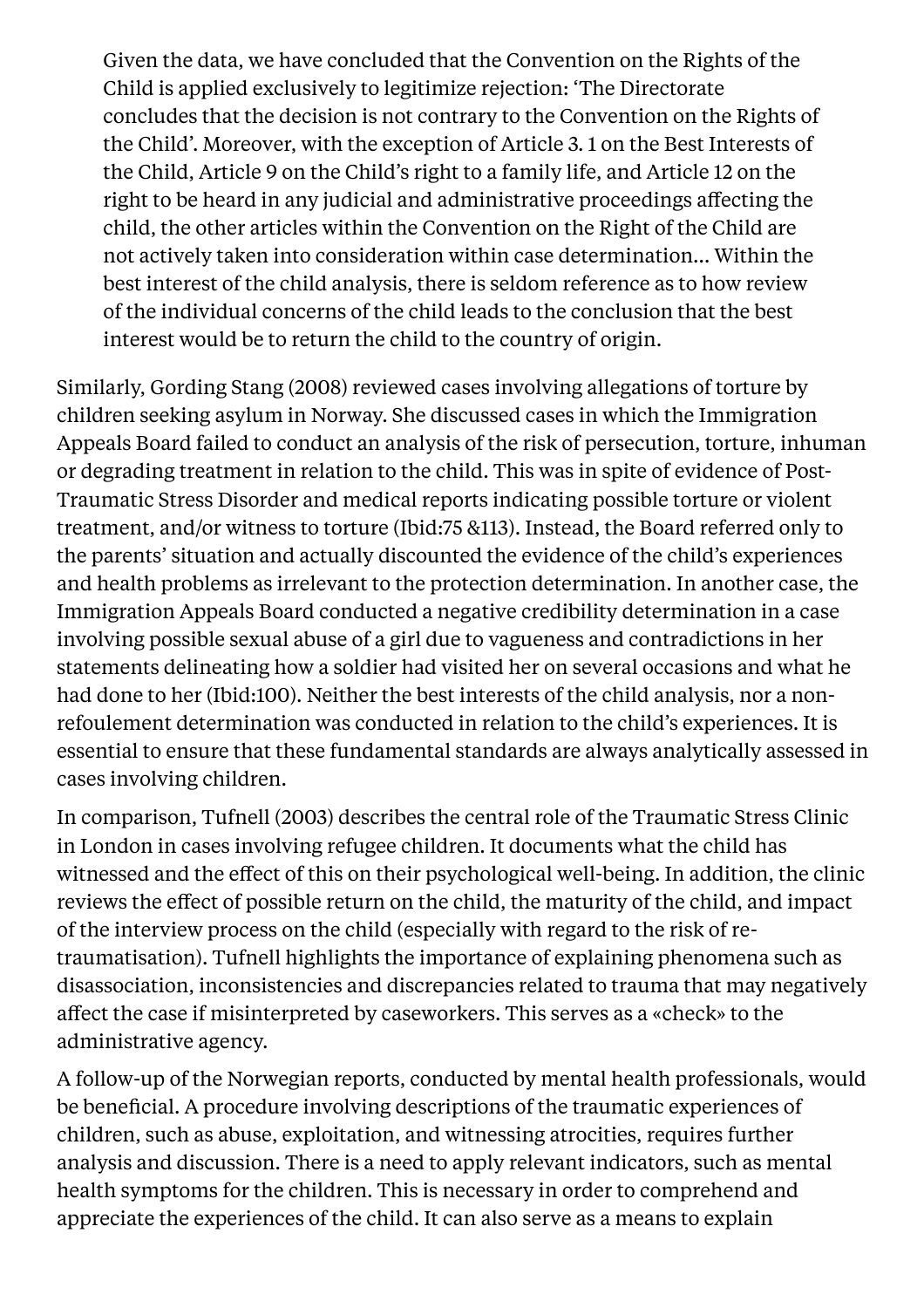Given the data, we have concluded that the Convention on the Rights of the Child is applied exclusively to legitimize rejection: 'The Directorate concludes that the decision is not contrary to the Convention on the Rights of the Child'. Moreover, with the exception of Article 3. 1 on the Best Interests of the Child, Article 9 on the Child's right to a family life, and Article 12 on the right to be heard in any judicial and administrative proceedings affecting the child, the other articles within the Convention on the Right of the Child are not actively taken into consideration within case determination… Within the best interest of the child analysis, there is seldom reference as to how review of the individual concerns of the child leads to the conclusion that the best interest would be to return the child to the country of origin.

Similarly, Gording Stang (2008) reviewed cases involving allegations of torture by children seeking asylum in Norway. She discussed cases in which the Immigration Appeals Board failed to conduct an analysis of the risk of persecution, torture, inhuman or degrading treatment in relation to the child. This was in spite of evidence of Post-Traumatic Stress Disorder and medical reports indicating possible torture or violent treatment, and/or witness to torture (Ibid:75 &113). Instead, the Board referred only to the parents' situation and actually discounted the evidence of the child's experiences and health problems as irrelevant to the protection determination. In another case, the Immigration Appeals Board conducted a negative credibility determination in a case involving possible sexual abuse of a girl due to vagueness and contradictions in her statements delineating how a soldier had visited her on several occasions and what he had done to her (Ibid:100). Neither the best interests of the child analysis, nor a nonrefoulement determination was conducted in relation to the child's experiences. It is essential to ensure that these fundamental standards are always analytically assessed in cases involving children.

In comparison, Tufnell (2003) describes the central role of the Traumatic Stress Clinic in London in cases involving refugee children. It documents what the child has witnessed and the effect of this on their psychological well-being. In addition, the clinic reviews the effect of possible return on the child, the maturity of the child, and impact of the interview process on the child (especially with regard to the risk of retraumatisation). Tufnell highlights the importance of explaining phenomena such as disassociation, inconsistencies and discrepancies related to trauma that may negatively affect the case if misinterpreted by caseworkers. This serves as a «check» to the administrative agency.

A follow-up of the Norwegian reports, conducted by mental health professionals, would be beneficial. A procedure involving descriptions of the traumatic experiences of children, such as abuse, exploitation, and witnessing atrocities, requires further analysis and discussion. There is a need to apply relevant indicators, such as mental health symptoms for the children. This is necessary in order to comprehend and appreciate the experiences of the child. It can also serve as a means to explain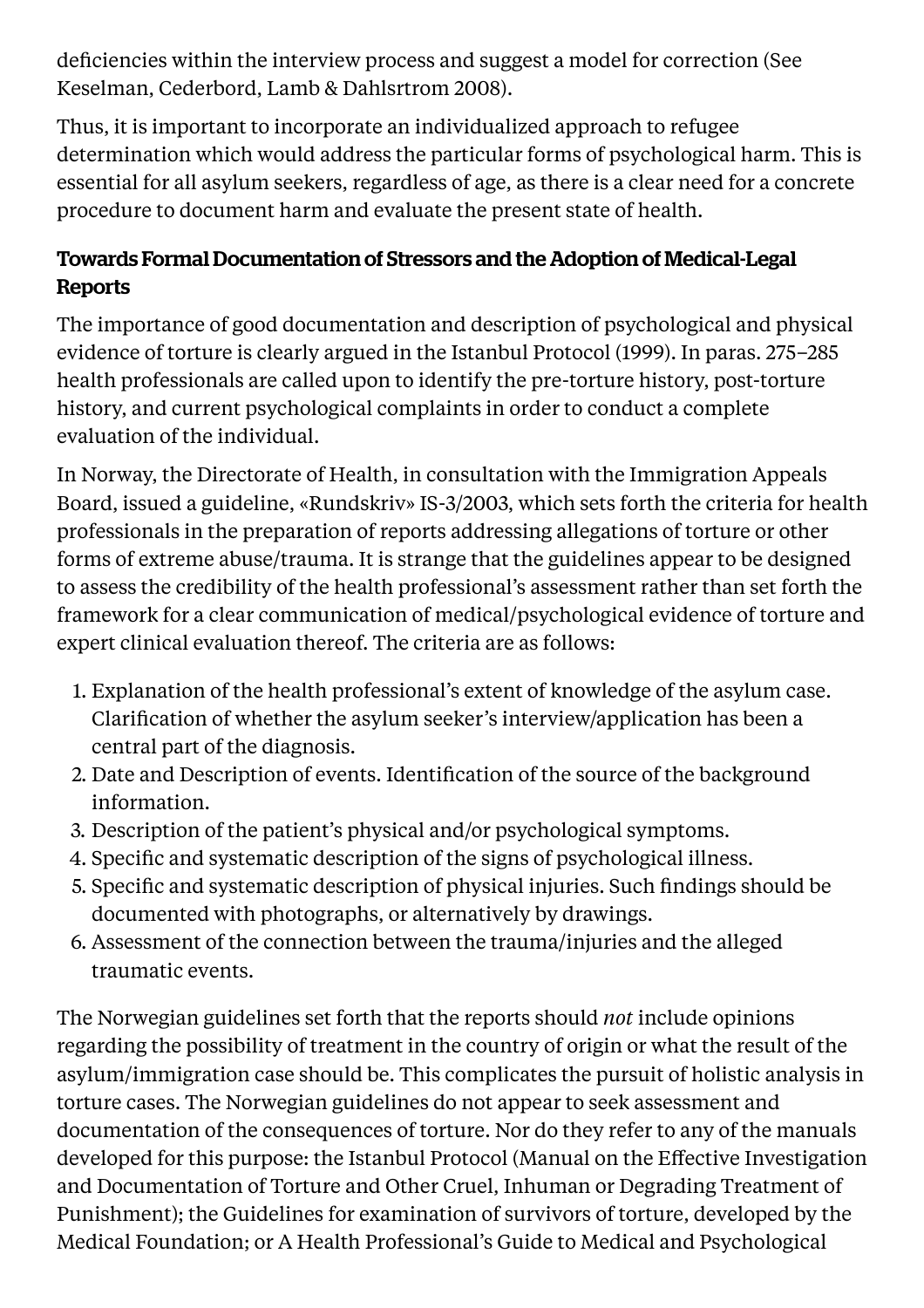deficiencies within the interview process and suggest a model for correction (See Keselman, Cederbord, Lamb & Dahlsrtrom 2008).

Thus, it is important to incorporate an individualized approach to refugee determination which would address the particular forms of psychological harm. This is essential for all asylum seekers, regardless of age, as there is a clear need for a concrete procedure to document harm and evaluate the present state of health.

#### Towards FormalDocumentation of Stressors and the Adoption of Medical-Legal Reports

The importance of good documentation and description of psychological and physical evidence of torture is clearly argued in the Istanbul Protocol (1999). In paras. 275–285 health professionals are called upon to identify the pre-torture history, post-torture history, and current psychological complaints in order to conduct a complete evaluation of the individual.

In Norway, the Directorate of Health, in consultation with the Immigration Appeals Board, issued a guideline, «Rundskriv» IS-3/2003, which sets forth the criteria for health professionals in the preparation of reports addressing allegations of torture or other forms of extreme abuse/trauma. It is strange that the guidelines appear to be designed to assess the credibility of the health professional's assessment rather than set forth the framework for a clear communication of medical/psychological evidence of torture and expert clinical evaluation thereof. The criteria are as follows:

- 1. Explanation of the health professional's extent of knowledge of the asylum case. Clarification of whether the asylum seeker's interview/application has been a central part of the diagnosis.
- 2. Date and Description of events. Identification of the source of the background information.
- 3. Description of the patient's physical and/or psychological symptoms.
- 4. Specific and systematic description of the signs of psychological illness.
- 5. Specific and systematic description of physical injuries. Such findings should be documented with photographs, or alternatively by drawings.
- 6. Assessment of the connection between the trauma/injuries and the alleged traumatic events.

The Norwegian guidelines set forth that the reports should *not* include opinions regarding the possibility of treatment in the country of origin or what the result of the asylum/immigration case should be. This complicates the pursuit of holistic analysis in torture cases. The Norwegian guidelines do not appear to seek assessment and documentation of the consequences of torture. Nor do they refer to any of the manuals developed for this purpose: the Istanbul Protocol (Manual on the Effective Investigation and Documentation of Torture and Other Cruel, Inhuman or Degrading Treatment of Punishment); the Guidelines for examination of survivors of torture, developed by the Medical Foundation; or A Health Professional's Guide to Medical and Psychological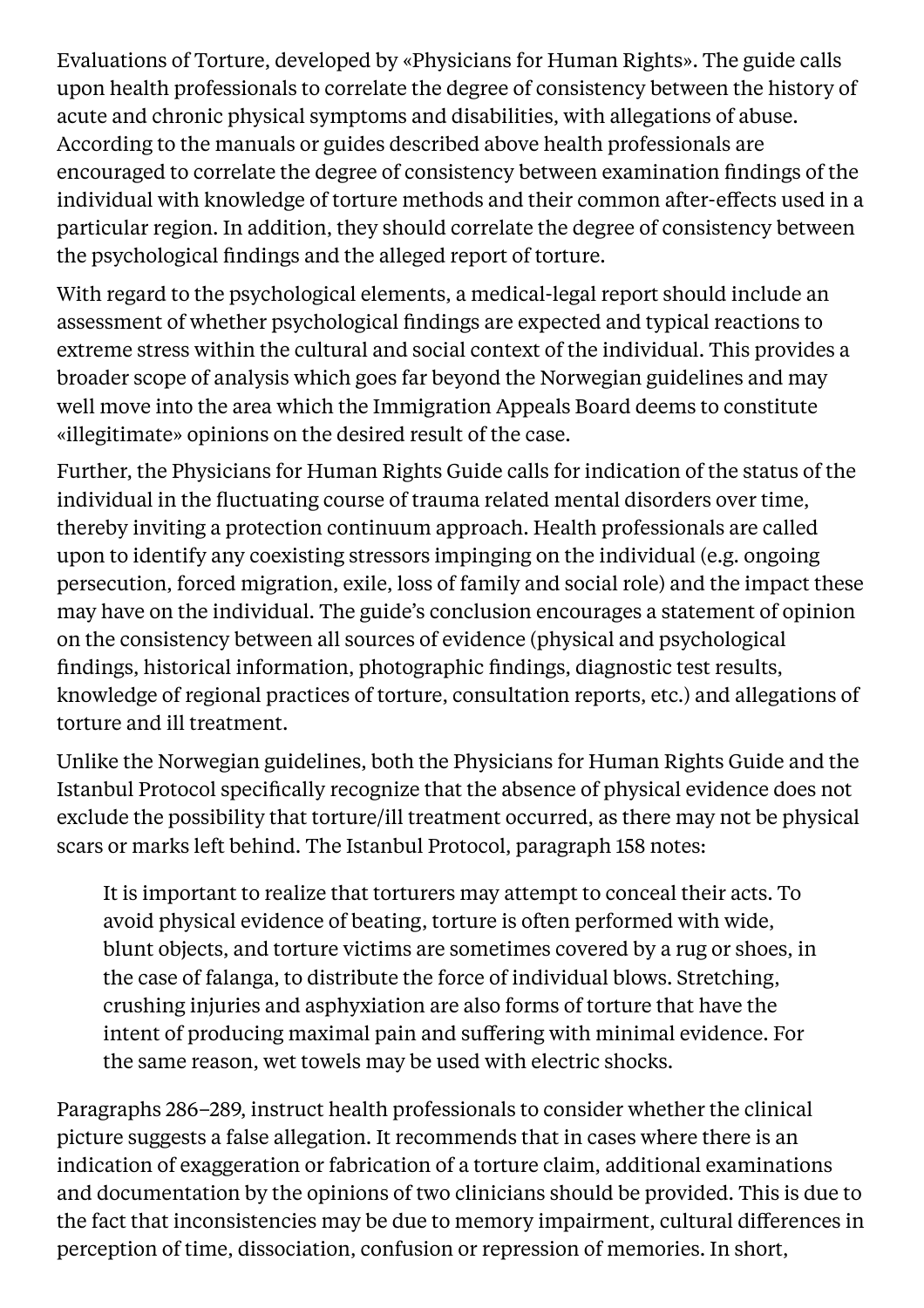Evaluations of Torture, developed by «Physicians for Human Rights». The guide calls upon health professionals to correlate the degree of consistency between the history of acute and chronic physical symptoms and disabilities, with allegations of abuse. According to the manuals or guides described above health professionals are encouraged to correlate the degree of consistency between examination findings of the individual with knowledge of torture methods and their common after-effects used in a particular region. In addition, they should correlate the degree of consistency between the psychological findings and the alleged report of torture.

With regard to the psychological elements, a medical-legal report should include an assessment of whether psychological findings are expected and typical reactions to extreme stress within the cultural and social context of the individual. This provides a broader scope of analysis which goes far beyond the Norwegian guidelines and may well move into the area which the Immigration Appeals Board deems to constitute «illegitimate» opinions on the desired result of the case.

Further, the Physicians for Human Rights Guide calls for indication of the status of the individual in the fluctuating course of trauma related mental disorders over time, thereby inviting a protection continuum approach. Health professionals are called upon to identify any coexisting stressors impinging on the individual (e.g. ongoing persecution, forced migration, exile, loss of family and social role) and the impact these may have on the individual. The guide's conclusion encourages a statement of opinion on the consistency between all sources of evidence (physical and psychological findings, historical information, photographic findings, diagnostic test results, knowledge of regional practices of torture, consultation reports, etc.) and allegations of torture and ill treatment.

Unlike the Norwegian guidelines, both the Physicians for Human Rights Guide and the Istanbul Protocol specifically recognize that the absence of physical evidence does not exclude the possibility that torture/ill treatment occurred, as there may not be physical scars or marks left behind. The Istanbul Protocol, paragraph 158 notes:

It is important to realize that torturers may attempt to conceal their acts. To avoid physical evidence of beating, torture is often performed with wide, blunt objects, and torture victims are sometimes covered by a rug or shoes, in the case of falanga, to distribute the force of individual blows. Stretching, crushing injuries and asphyxiation are also forms of torture that have the intent of producing maximal pain and suffering with minimal evidence. For the same reason, wet towels may be used with electric shocks.

Paragraphs 286–289, instruct health professionals to consider whether the clinical picture suggests a false allegation. It recommends that in cases where there is an indication of exaggeration or fabrication of a torture claim, additional examinations and documentation by the opinions of two clinicians should be provided. This is due to the fact that inconsistencies may be due to memory impairment, cultural differences in perception of time, dissociation, confusion or repression of memories. In short,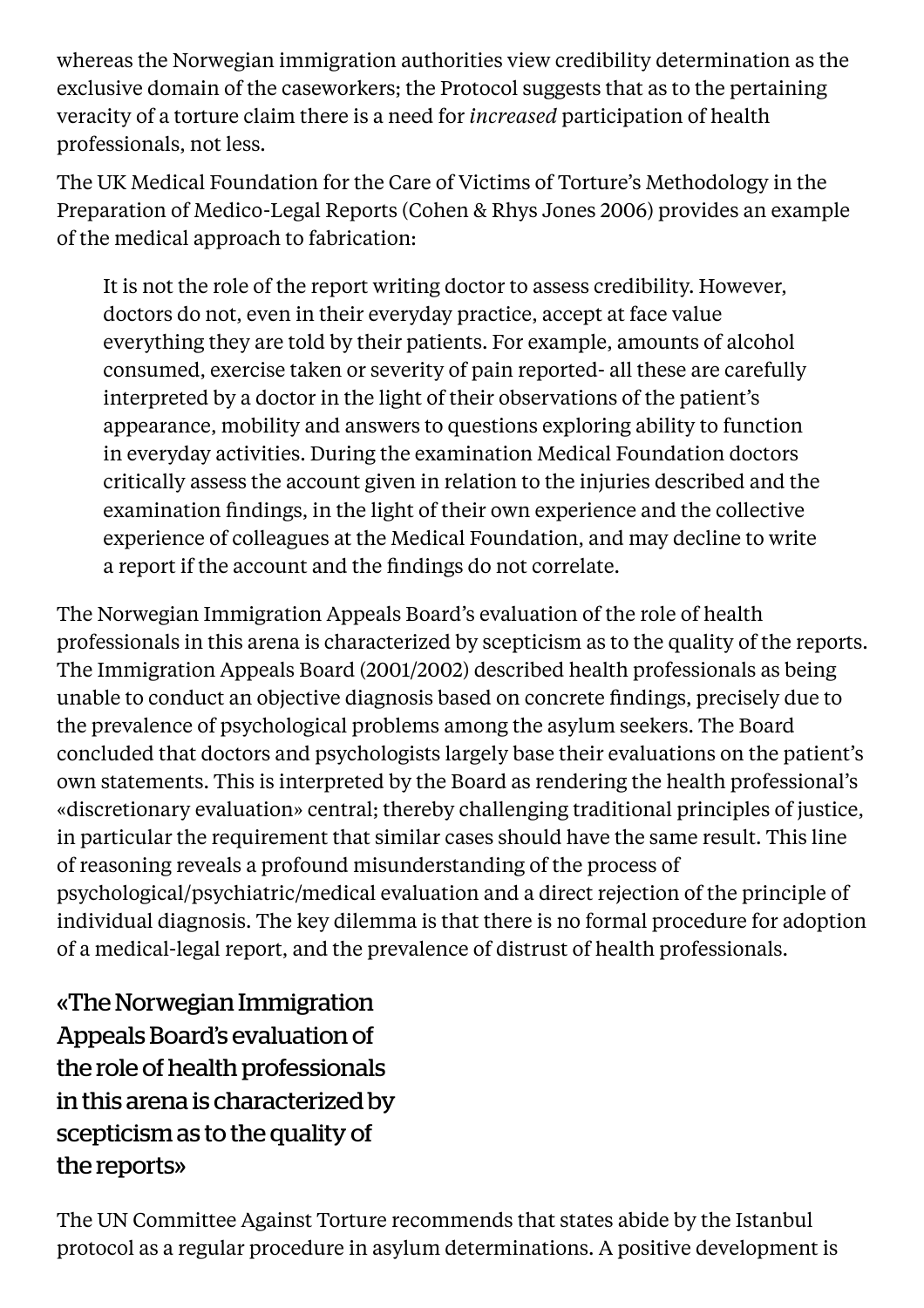whereas the Norwegian immigration authorities view credibility determination as the exclusive domain of the caseworkers; the Protocol suggests that as to the pertaining veracity of a torture claim there is a need for *increased* participation of health professionals, not less.

The UK Medical Foundation for the Care of Victims of Torture's Methodology in the Preparation of Medico-Legal Reports (Cohen & Rhys Jones 2006) provides an example of the medical approach to fabrication:

It is not the role of the report writing doctor to assess credibility. However, doctors do not, even in their everyday practice, accept at face value everything they are told by their patients. For example, amounts of alcohol consumed, exercise taken or severity of pain reported- all these are carefully interpreted by a doctor in the light of their observations of the patient's appearance, mobility and answers to questions exploring ability to function in everyday activities. During the examination Medical Foundation doctors critically assess the account given in relation to the injuries described and the examination findings, in the light of their own experience and the collective experience of colleagues at the Medical Foundation, and may decline to write a report if the account and the findings do not correlate.

The Norwegian Immigration Appeals Board's evaluation of the role of health professionals in this arena is characterized by scepticism as to the quality of the reports. The Immigration Appeals Board (2001/2002) described health professionals as being unable to conduct an objective diagnosis based on concrete findings, precisely due to the prevalence of psychological problems among the asylum seekers. The Board concluded that doctors and psychologists largely base their evaluations on the patient's own statements. This is interpreted by the Board as rendering the health professional's «discretionary evaluation» central; thereby challenging traditional principles of justice, in particular the requirement that similar cases should have the same result. This line of reasoning reveals a profound misunderstanding of the process of psychological/psychiatric/medical evaluation and a direct rejection of the principle of individual diagnosis. The key dilemma is that there is no formal procedure for adoption of a medical-legal report, and the prevalence of distrust of health professionals.

«The Norwegian Immigration Appeals Board's evaluation of the role of health professionals in this arena is characterized by scepticism as to the quality of the reports»

The UN Committee Against Torture recommends that states abide by the Istanbul protocol as a regular procedure in asylum determinations. A positive development is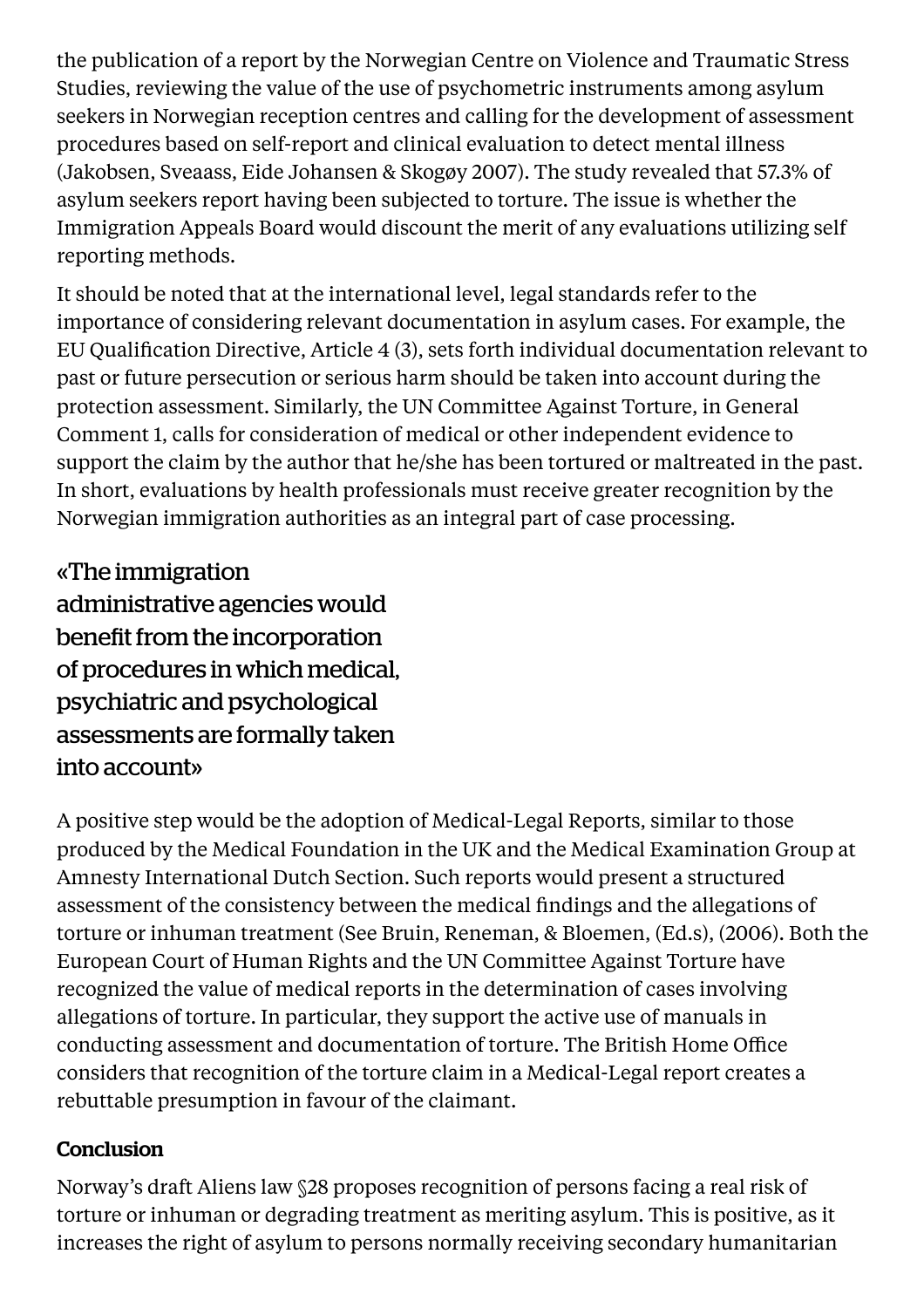the publication of a report by the Norwegian Centre on Violence and Traumatic Stress Studies, reviewing the value of the use of psychometric instruments among asylum seekers in Norwegian reception centres and calling for the development of assessment procedures based on self-report and clinical evaluation to detect mental illness (Jakobsen, Sveaass, Eide Johansen & Skogøy 2007). The study revealed that 57.3% of asylum seekers report having been subjected to torture. The issue is whether the Immigration Appeals Board would discount the merit of any evaluations utilizing self reporting methods.

It should be noted that at the international level, legal standards refer to the importance of considering relevant documentation in asylum cases. For example, the EU Qualification Directive, Article 4 (3), sets forth individual documentation relevant to past or future persecution or serious harm should be taken into account during the protection assessment. Similarly, the UN Committee Against Torture, in General Comment 1, calls for consideration of medical or other independent evidence to support the claim by the author that he/she has been tortured or maltreated in the past. In short, evaluations by health professionals must receive greater recognition by the Norwegian immigration authorities as an integral part of case processing.

«The immigration administrative agencies would benefit from the incorporation of procedures in which medical, psychiatric and psychological assessments are formally taken into account»

A positive step would be the adoption of Medical-Legal Reports, similar to those produced by the Medical Foundation in the UK and the Medical Examination Group at Amnesty International Dutch Section. Such reports would present a structured assessment of the consistency between the medical findings and the allegations of torture or inhuman treatment (See Bruin, Reneman, & Bloemen, (Ed.s), (2006). Both the European Court of Human Rights and the UN Committee Against Torture have recognized the value of medical reports in the determination of cases involving allegations of torture. In particular, they support the active use of manuals in conducting assessment and documentation of torture. The British Home Office considers that recognition of the torture claim in a Medical-Legal report creates a rebuttable presumption in favour of the claimant.

# **Conclusion**

Norway's draft Aliens law §28 proposes recognition of persons facing a real risk of torture or inhuman or degrading treatment as meriting asylum. This is positive, as it increases the right of asylum to persons normally receiving secondary humanitarian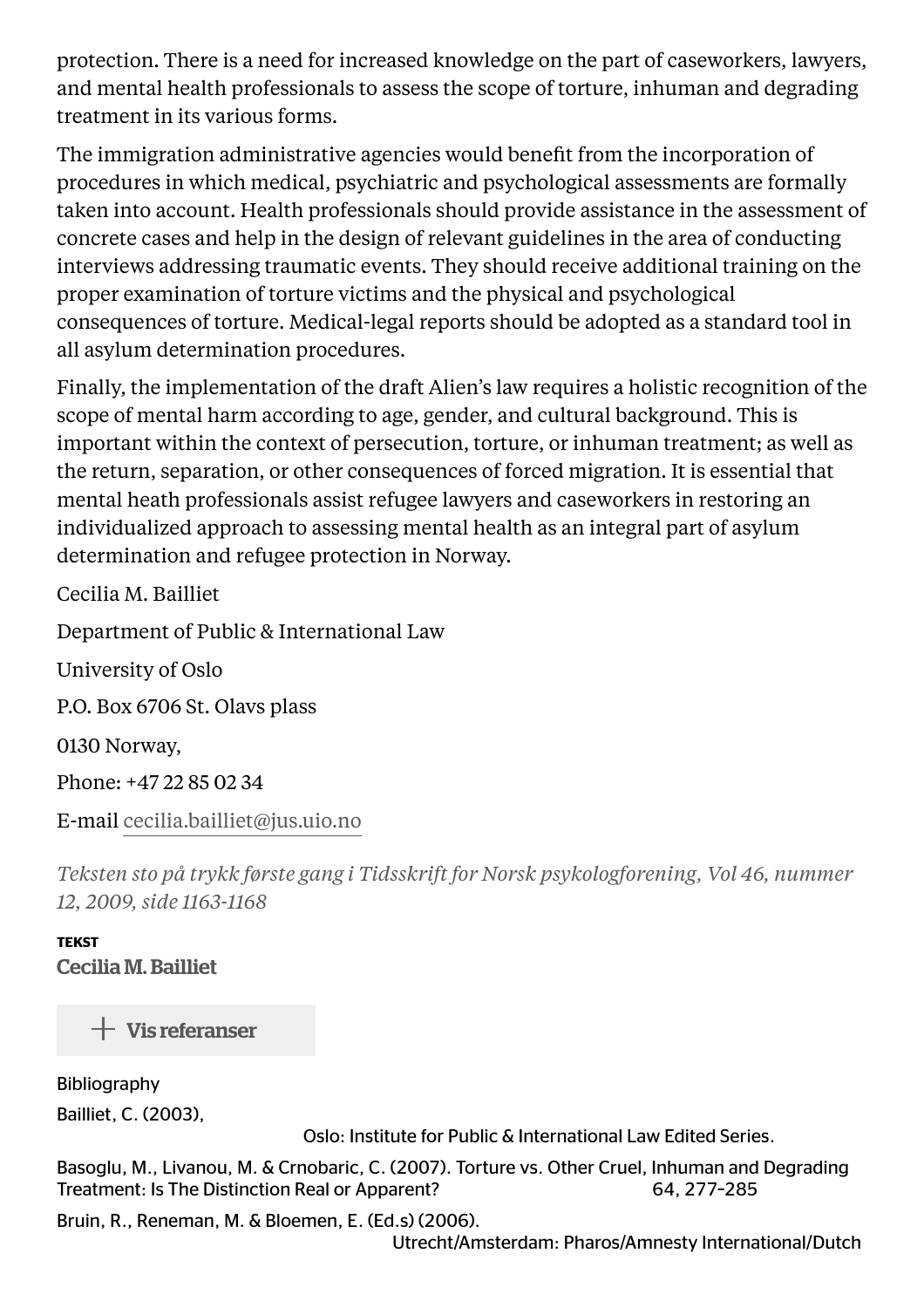protection. There is a need for increased knowledge on the part of caseworkers, lawyers, and mental health professionals to assess the scope of torture, inhuman and degrading treatment in its various forms.

The immigration administrative agencies would benefit from the incorporation of procedures in which medical, psychiatric and psychological assessments are formally taken into account. Health professionals should provide assistance in the assessment of concrete cases and help in the design of relevant guidelines in the area of conducting interviews addressing traumatic events. They should receive additional training on the proper examination of torture victims and the physical and psychological consequences of torture. Medical-legal reports should be adopted as a standard tool in all asylum determination procedures.

Finally, the implementation of the draft Alien's law requires a holistic recognition of the scope of mental harm according to age, gender, and cultural background. This is important within the context of persecution, torture, or inhuman treatment; as well as the return, separation, or other consequences of forced migration. It is essential that mental heath professionals assist refugee lawyers and caseworkers in restoring an individualized approach to assessing mental health as an integral part of asylum determination and refugee protection in Norway.

Cecilia M. Bailliet

Department of Public & International Law

University of Oslo

P.O. Box 6706 St. Olavs plass

0130 Norway,

Phone: +47 22 85 02 34

E-mail [cecilia.bailliet@jus.uio.no](mailto:cecilia.bailliet@jus.uio.no)

*Teksten sto på trykk første gang i Tidsskrift for Norsk psykologforening, Vol 46, nummer 12, 2009, side 1163-1168*

**TEKST** Cecilia M. Bailliet

 $+$  Vis referanser

Bibliography Bailliet, C. (2003),

Oslo: Institute for Public & International Law Edited Series.

Basoglu, M., Livanou, M. & Crnobaric, C. (2007). Torture vs. Other Cruel, Inhuman and Degrading Treatment: Is The Distinction Real or Apparent? 64, 277-285

Bruin, R., Reneman, M. & Bloemen, E. (Ed.s) (2006).

Utrecht/Amsterdam: Pharos/Amnesty International/Dutch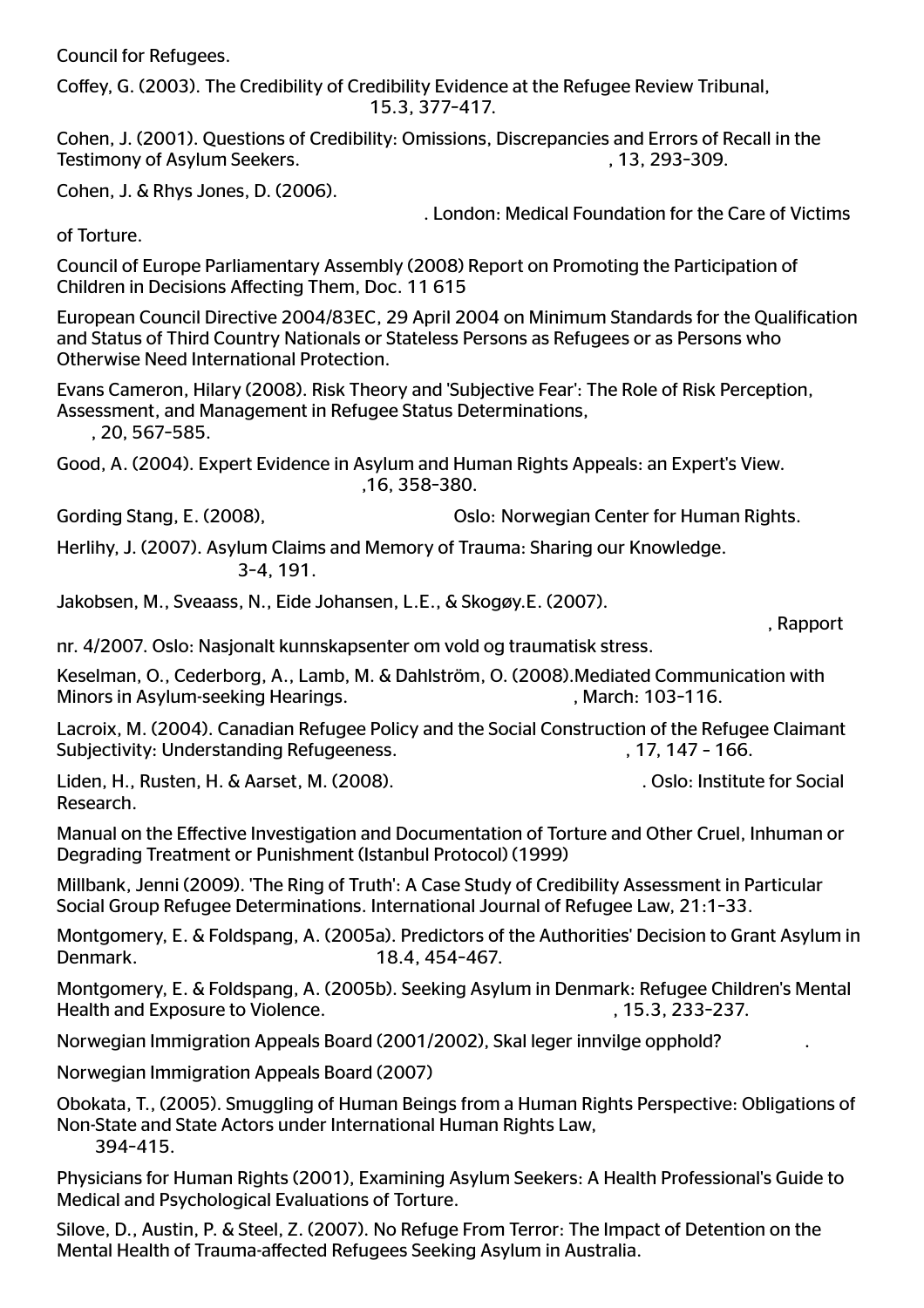Council for Refugees.

Coffey, G. (2003). The Credibility of Credibility Evidence at the Refugee Review Tribunal, 15.3, 377-417.

Cohen, J. (2001). Questions of Credibility: Omissions, Discrepancies and Errors of Recall in the Testimony of Asylum Seekers.  $\overline{\phantom{a}}$  13, 293-309.

Cohen, J. & Rhys Jones, D. (2006).

. London: Medical Foundation for the Care of Victims

of Torture.

Council of Europe Parliamentary Assembly (2008) Report on Promoting the Participation of Children in Decisions Affecting Them, Doc. 11 615

European Council Directive 2004/83EC, 29 April 2004 on Minimum Standards for the Oualification and Status of Third Country Nationals or Stateless Persons as Refugees or as Persons who Otherwise Need International Protection.

Evans Cameron, Hilary (2008). Risk Theory and 'Subjective Fear': The Role of Risk Perception, Assessment, and Management in Refugee Status Determinations,

, 20, 567-585.

Good, A. (2004). Expert Evidence in Asylum and Human Rights Appeals: an Expert's View. .16, 358-380.

Gording Stang, E. (2008), Cording Stang, E. (2008), Cording Stang, E. (2008), Corea and Duble Costo: Norwegian Center for Human Rights.

Herlihy, J. (2007). Asylum Claims and Memory of Trauma: Sharing our Knowledge. 34, 191.

Jakobsen, M., Sveaass, N., Eide Johansen, L.E., & Skogøy.E. (2007).

nr. 4/2007. Oslo: Nasjonalt kunnskapsenter om vold og traumatisk stress.

Keselman, O., Cederborg, A., Lamb, M. & Dahlström, O. (2008).Mediated Communication with Minors in Asylum-seeking Hearings. Minors in Asylum-seeking Hearings.

Lacroix, M. (2004). Canadian Refugee Policy and the Social Construction of the Refugee Claimant Subjectivity: Understanding Refugeeness.  $17, 147 - 166$ .

Liden, H., Rusten, H. & Aarset, M. (2008). . . . . . . . . . . . . . . . . . Oslo: Institute for Social Research.

, Rapport

Manual on the Effective Investigation and Documentation of Torture and Other Cruel, Inhuman or Degrading Treatment or Punishment (Istanbul Protocol) (1999)

Millbank, Jenni (2009). 'The Ring of Truth': A Case Study of Credibility Assessment in Particular Social Group Refugee Determinations. International Journal of Refugee Law, 21:1-33.

Montgomery, E. & Foldspang, A. (2005a). Predictors of the Authorities' Decision to Grant Asylum in Denmark. 18.4, 454-467.

Montgomery, E. & Foldspang, A. (2005b). Seeking Asylum in Denmark: Refugee Children's Mental Health and Exposure to Violence. (a) the same state of the state of the state of the state of the state of the state of the state of the state of the state of the state of the state of the state of the state of the state o

Norwegian Immigration Appeals Board (2001/2002), Skal leger innvilge opphold? .

Norwegian Immigration Appeals Board (2007)

Obokata, T., (2005). Smuggling of Human Beings from a Human Rights Perspective: Obligations of Non-State and State Actors under International Human Rights Law, 394415.

Physicians for Human Rights (2001), Examining Asylum Seekers: A Health Professional's Guide to Medical and Psychological Evaluations of Torture.

Silove, D., Austin, P. & Steel, Z. (2007). No Refuge From Terror: The Impact of Detention on the Mental Health of Trauma-affected Refugees Seeking Asylum in Australia.